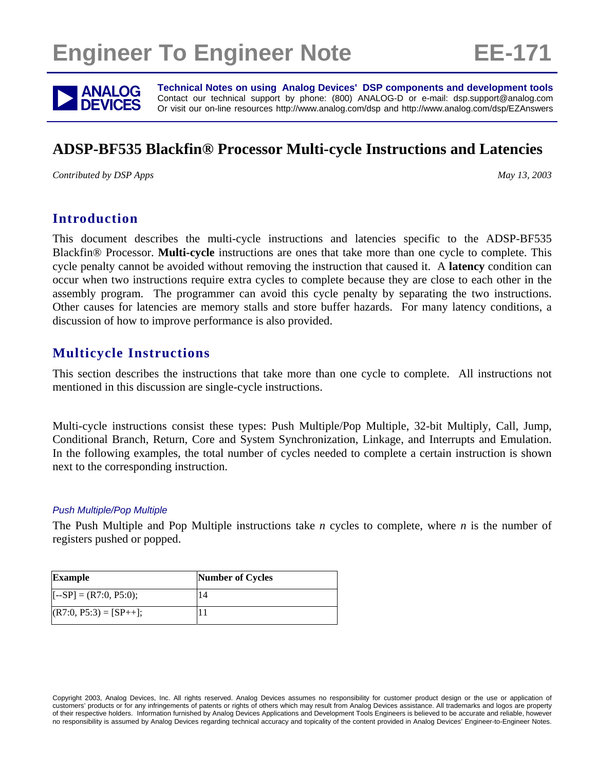# **Engineer To Engineer Note FE-171**



**ANALOG** Technical Notes on using Analog Devices' DSP components and development tools<br> **DEVICES** Or visit our on-line resources http://www.analog.com/dsp and http://www.analog.com/dsp/EZAnswers Contact our technical support by phone: (800) ANALOG-D or e-mail: dsp.support@analog.com Or visit our on-line resources http://www.analog.com/dsp and http://www.analog.com/dsp/EZAnswers

## **ADSP-BF535 Blackfin® Processor Multi-cycle Instructions and Latencies**

*Contributed by DSP Apps May 13, 2003 May 13, 2003* 

### **Introduction**

This document describes the multi-cycle instructions and latencies specific to the ADSP-BF535 Blackfin® Processor. **Multi-cycle** instructions are ones that take more than one cycle to complete. This cycle penalty cannot be avoided without removing the instruction that caused it. A **latency** condition can occur when two instructions require extra cycles to complete because they are close to each other in the assembly program. The programmer can avoid this cycle penalty by separating the two instructions. Other causes for latencies are memory stalls and store buffer hazards. For many latency conditions, a discussion of how to improve performance is also provided.

### **Multicycle Instructions**

This section describes the instructions that take more than one cycle to complete. All instructions not mentioned in this discussion are single-cycle instructions.

Multi-cycle instructions consist these types: Push Multiple/Pop Multiple, 32-bit Multiply, Call, Jump, Conditional Branch, Return, Core and System Synchronization, Linkage, and Interrupts and Emulation. In the following examples, the total number of cycles needed to complete a certain instruction is shown next to the corresponding instruction.

### *Push Multiple/Pop Multiple*

The Push Multiple and Pop Multiple instructions take *n* cycles to complete, where *n* is the number of registers pushed or popped.

| <b>Example</b>           | <b>Number of Cycles</b> |
|--------------------------|-------------------------|
| $[-SP] = (R7:0, P5:0);$  |                         |
| $(R7:0, P5:3) = [SP++];$ |                         |

Copyright 2003, Analog Devices, Inc. All rights reserved. Analog Devices assumes no responsibility for customer product design or the use or application of customers' products or for any infringements of patents or rights of others which may result from Analog Devices assistance. All trademarks and logos are property of their respective holders. Information furnished by Analog Devices Applications and Development Tools Engineers is believed to be accurate and reliable, however no responsibility is assumed by Analog Devices regarding technical accuracy and topicality of the content provided in Analog Devices' Engineer-to-Engineer Notes.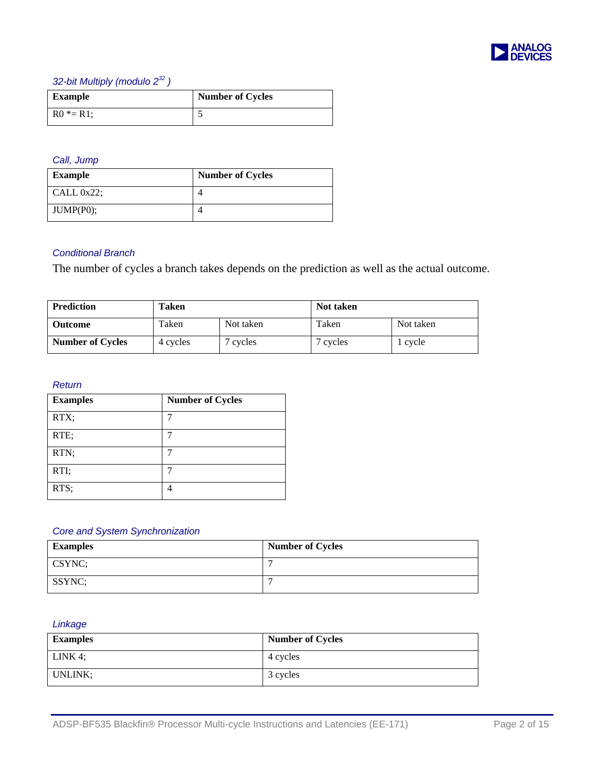

### *32-bit Multiply (modulo 2<sup>32</sup> )*

| <b>Example</b> | <b>Number of Cycles</b> |
|----------------|-------------------------|
| $R0 * = R1$ ;  |                         |

### *Call, Jump*

| <b>Example</b> | <b>Number of Cycles</b> |
|----------------|-------------------------|
| CALL $0x22$ ;  |                         |
| $JUMP(P0)$ :   |                         |

### *Conditional Branch*

The number of cycles a branch takes depends on the prediction as well as the actual outcome.

| <b>Prediction</b>       | Taken    |           | Not taken |           |
|-------------------------|----------|-----------|-----------|-----------|
| <b>Outcome</b>          | Taken    | Not taken | Taken     | Not taken |
| <b>Number of Cycles</b> | 4 cycles | cycles    | cycles    | l cvcle   |

### *Return*

| <b>Examples</b> | <b>Number of Cycles</b> |
|-----------------|-------------------------|
| RTX;            |                         |
| RTE;            |                         |
| RTN;            | ┑                       |
| RTI;            |                         |
| RTS;            |                         |

### *Core and System Synchronization*

| <b>Examples</b> | <b>Number of Cycles</b> |
|-----------------|-------------------------|
| CSYNC;          |                         |
| SSYNC;          |                         |

### *Linkage*

| <b>Examples</b> | <b>Number of Cycles</b> |
|-----------------|-------------------------|
| LINK 4;         | 4 cycles                |
| UNLINK:         | 3 cycles                |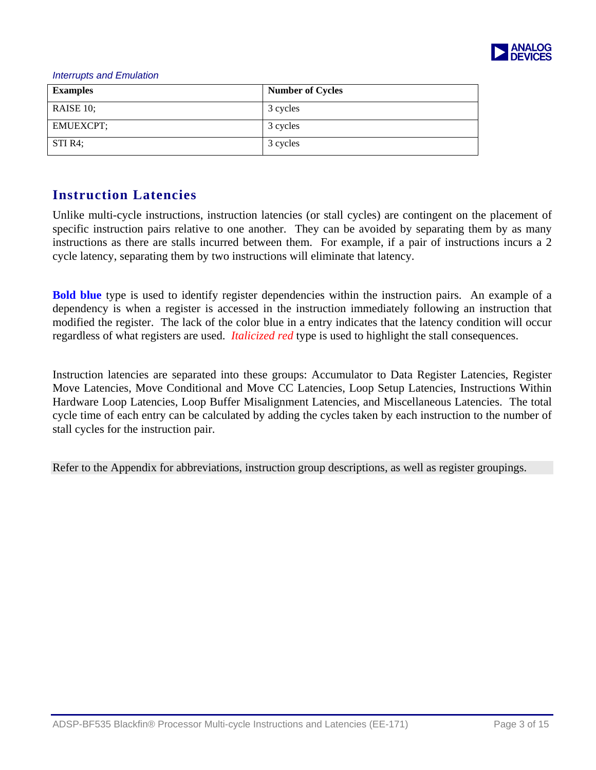

#### *Interrupts and Emulation*

| <b>Examples</b>  | <b>Number of Cycles</b> |
|------------------|-------------------------|
| RAISE 10;        | 3 cycles                |
| <b>EMUEXCPT;</b> | 3 cycles                |
| STI R4;          | 3 cycles                |

### **Instruction Latencies**

Unlike multi-cycle instructions, instruction latencies (or stall cycles) are contingent on the placement of specific instruction pairs relative to one another. They can be avoided by separating them by as many instructions as there are stalls incurred between them. For example, if a pair of instructions incurs a 2 cycle latency, separating them by two instructions will eliminate that latency.

**Bold blue** type is used to identify register dependencies within the instruction pairs. An example of a dependency is when a register is accessed in the instruction immediately following an instruction that modified the register. The lack of the color blue in a entry indicates that the latency condition will occur regardless of what registers are used. *Italicized red* type is used to highlight the stall consequences.

Instruction latencies are separated into these groups: Accumulator to Data Register Latencies, Register Move Latencies, Move Conditional and Move CC Latencies, Loop Setup Latencies, Instructions Within Hardware Loop Latencies, Loop Buffer Misalignment Latencies, and Miscellaneous Latencies. The total cycle time of each entry can be calculated by adding the cycles taken by each instruction to the number of stall cycles for the instruction pair.

Refer to the Appendix for abbreviations, instruction group descriptions, as well as register groupings.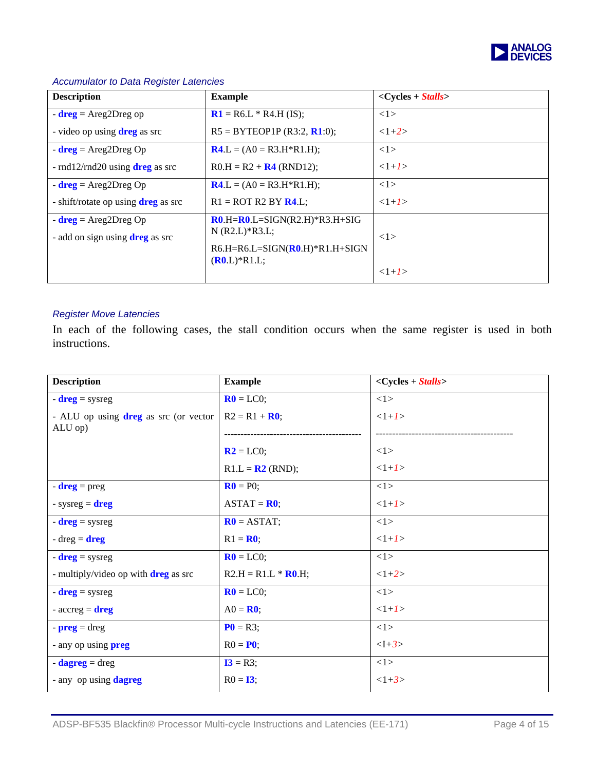

| <b>Description</b>                              | <b>Example</b>                   | $<$ Cycles + Stalls> |
|-------------------------------------------------|----------------------------------|----------------------|
| $-$ dreg = Areg2Dreg op                         | $R1 = R6.L * R4.H (IS);$         | 1>                   |
| - video op using $\text{dreg}$ as src           | $R5 = BYTEOP1P (R3:2, R1:0);$    | $<1+2>$              |
| $-$ dreg = Areg2Dreg Op                         | $R4 L = (A0 = R3.H*R1.H);$       | 1>                   |
| - $\text{rnd12/rnd20}$ using <b>dreg</b> as src | $R0.H = R2 + R4$ (RND12);        | $<1+1>$              |
| $-$ dreg = Areg2Dreg Op                         | $R4.L = (A0 = R3.H * R1.H);$     | 1>                   |
| - shift/rotate op using <b>dreg</b> as src      | $R1 = ROT R2 BY R4.L;$           | $<1+1>$              |
| $-$ dreg = Areg2Dreg Op                         | $R0.H=R0.L=SIGN(R2.H)*R3.H+SIG$  |                      |
| - add on sign using <b>dreg</b> as src          | $N (R2.L)*R3.L;$                 | <1>                  |
|                                                 | $R6.H=R6.L=SIGN(R0.H)*R1.H+SIGN$ |                      |
|                                                 | $(R0.L)*R1.L;$                   | $<1+1>$              |
|                                                 |                                  |                      |

### *Accumulator to Data Register Latencies*

### *Register Move Latencies*

In each of the following cases, the stall condition occurs when the same register is used in both instructions.

| <b>Description</b>                          | <b>Example</b>                | $<$ Cycles + Stalls> |
|---------------------------------------------|-------------------------------|----------------------|
| $-$ dreg = sysreg                           | $\mathbf{R0} = \mathbf{LC0};$ | <1>                  |
| - ALU op using dreg as src (or vector       | $R2 = R1 + R0;$               | $<1+1>$              |
| ALU op)                                     |                               |                      |
|                                             | $R2 = LC0;$                   | 1>                   |
|                                             | $R1.L = R2 (RND);$            | $<1+1>$              |
| $-dreg = preg$                              | $\mathbf{R0} = \mathbf{P0}$ ; | <1>                  |
| - sysreg = $\text{dreg}$                    | $ASTAT = R0;$                 | $<1+1>$              |
| $-$ dreg = sysreg                           | $R0 = ASTAT;$                 | 1>                   |
| $-dreg = \text{dreg}$                       | $R1 = R0;$                    | $<1+1>$              |
| $-$ dreg = sysreg                           | $R0 = LC0;$                   | 1>                   |
| - multiply/video op with <b>dreg</b> as src | $R2.H = R1.L * R0.H;$         | $<1+2>$              |
| $-$ dreg = sysreg                           | $R0 = LC0;$                   | 1>                   |
| - $\mathrm{accreg} = \mathrm{dreg}$         | $AO = R0$ ;                   | $<1+1>$              |
| $-preg = dreg$                              | $P0 = R3;$                    | <1>                  |
| - any op using <b>preg</b>                  | $R0 = P0$ ;                   | $< I + 3>$           |
| $-$ <b>dagreg</b> = dreg                    | $I3 = R3;$                    | <1>                  |
| - any op using dagreg                       | $R0 = 13;$                    | $<1+3>$              |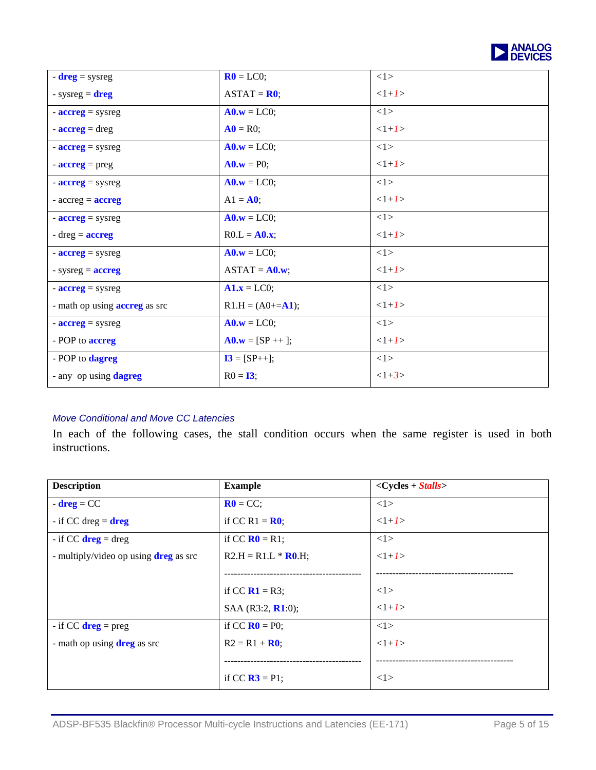

| $-$ dreg = sysreg                        | $\mathbf{R0} = \text{LCO}$ ;                      | <1>     |
|------------------------------------------|---------------------------------------------------|---------|
| - sysreg = $\text{dreg}$                 | $ASTAT = R0;$                                     | $<1+1>$ |
| $-$ <b>accreg</b> = sysreg               | $\mathbf{A0}.\mathbf{w} = \mathbf{LCO};$          | 1>      |
| $\text{-} \textbf{accreg} = \text{dreg}$ | $\mathbf{A0} = \mathbf{R0}$ ;                     | $<1+1>$ |
| $-$ <b>accreg</b> = sysreg               | $\mathbf{A0}.\mathbf{w} = \mathbf{LCO};$          | 1>      |
| $\frac{-\text{acreg}}{2} = \text{preg}$  | $\mathbf{A0}.\mathbf{w} = \mathbf{P0}$ ;          | $<1+1>$ |
| $-$ <b>accreg</b> = sysreg               | $\mathbf{A0}.\mathbf{w} = \mathbf{LCO};$          | 1>      |
| - $\mathrm{accreg} = \mathrm{accreg}$    | $A1 = A0;$                                        | $<1+1>$ |
| $-$ <b>accreg</b> = sysreg               | $\mathbf{A0}.\mathbf{w} = \mathbf{LCO};$          | 1>      |
| $-dreg = accreg$                         | $R0.L = A0.x;$                                    | $<1+1>$ |
| $-$ <b>accreg</b> = sysreg               | $\mathbf{A0}.\mathbf{w} = \mathbf{LCO};$          | 1>      |
| - sysreg $=$ <b>accreg</b>               | $ASTAT = A0.w;$                                   | $<1+1>$ |
| $-$ <b>accreg</b> = sysreg               | $\mathbf{A1}.\mathbf{x} = \mathbf{L}\mathbf{C0};$ | 1>      |
| - math op using <b>accreg</b> as src     | $R1.H = (A0+=A1);$                                | $<1+1>$ |
| $-$ <b>accreg</b> = sysreg               | $\mathbf{A0}.\mathbf{w} = \mathbf{LCO};$          | 1>      |
| - POP to <b>accreg</b>                   | $A0.w = [SP +1];$                                 | $<1+1>$ |
| - POP to dagreg                          | $I3 = [SP++];$                                    | 1>      |
| - any op using dagreg                    | $R0 = 13$ ;                                       | $<1+3>$ |

### *Move Conditional and Move CC Latencies*

In each of the following cases, the stall condition occurs when the same register is used in both instructions.

| <b>Description</b>                           | <b>Example</b>                      | $<$ Cycles + Stalls> |
|----------------------------------------------|-------------------------------------|----------------------|
| $-$ dreg = CC                                | $R0 = CC;$                          | <1>                  |
| - if CC dreg $=$ dreg                        | if CC R1 = $\mathbf{R0}$ ;          | $<1+1>$              |
| - if CC $\text{dreg} = \text{dreg}$          | if CC $R0 = R1$ ;                   | 1>                   |
| - multiply/video op using <b>dreg</b> as src | $R2.H = R1.L * R0.H;$               | $<1+1>$              |
|                                              |                                     |                      |
|                                              | if CC $R1 = R3$ ;                   | 1>                   |
|                                              | SAA (R3:2, R1:0);                   | $<1+1>$              |
| - if CC $\text{dreg} = \text{preg}$          | if CC $\mathbf{R0} = \mathbf{P0}$ ; | <1>                  |
| - math op using <b>dreg</b> as src           | $R2 = R1 + R0;$                     | $<1+1>$              |
|                                              |                                     |                      |
|                                              | if CC $\mathbf{R3} = \mathbf{P1}$ ; | <1>                  |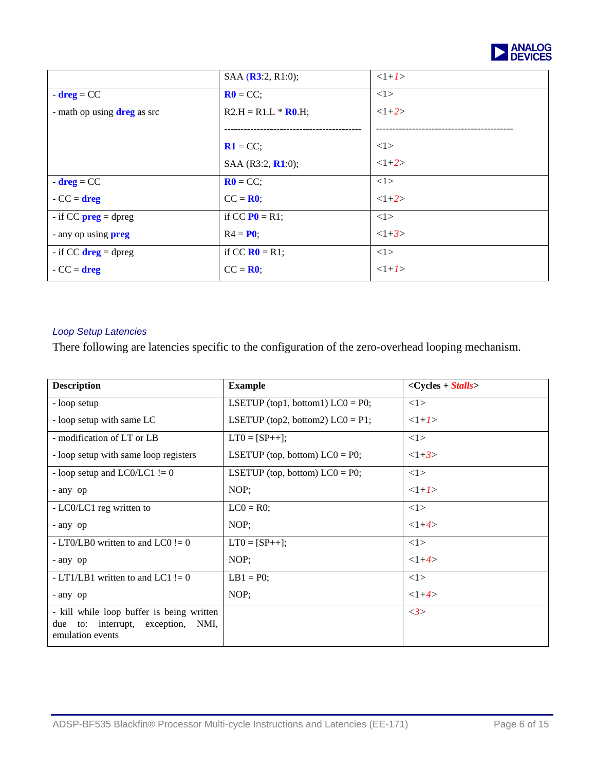

|                                      | SAA (R3:2, R1:0);                   | $<1+1>$ |
|--------------------------------------|-------------------------------------|---------|
| $-$ dreg = CC                        | $R0 = CC;$                          | 1>      |
| - math op using <b>dreg</b> as src   | $R2.H = R1.L * R0.H;$               | $<1+2>$ |
|                                      |                                     |         |
|                                      | $R1 = CC;$                          | 1>      |
|                                      | SAA (R3:2, R1:0);                   | $<1+2>$ |
| $-$ dreg = CC                        | $R0 = CC;$                          | <1>     |
| $-CC = \text{dreg}$                  | $CC = R0$ ;                         | $<1+2>$ |
| - if CC $preg = dpreg$               | if CC $P0 = R1$ ;                   | 1>      |
| - any op using <b>preg</b>           | $R4 = P0$ ;                         | $<1+3>$ |
| - if CC $\text{dreg} = \text{dpreg}$ | if CC $\mathbf{R0} = \mathbf{R1}$ ; | <1>     |
| $-CC = \text{dreg}$                  | $CC = R0$ ;                         | $<1+1>$ |

### *Loop Setup Latencies*

There following are latencies specific to the configuration of the zero-overhead looping mechanism.

| <b>Description</b>                                                                                        | <b>Example</b>                      | $<$ Cycles + Stalls> |
|-----------------------------------------------------------------------------------------------------------|-------------------------------------|----------------------|
| - loop setup                                                                                              | LSETUP (top1, bottom1) $LCO = PO$ ; | 1>                   |
| - loop setup with same LC                                                                                 | LSETUP (top2, bottom2) $LCO = P1$ ; | $<1+1>$              |
| - modification of LT or LB                                                                                | $LT0 = [SP++]:$                     | 1>                   |
| - loop setup with same loop registers                                                                     | LSETUP (top, bottom) $LCO = P0$ ;   | $<1+3>$              |
| - loop setup and LC0/LC1 $!= 0$                                                                           | LSETUP (top, bottom) $LCO = PO$ ;   | 1>                   |
| - any op                                                                                                  | NOP;                                | $<1+1>$              |
| - LC0/LC1 reg written to                                                                                  | $LC0 = R0$ ;                        | <1>                  |
| - any op                                                                                                  | NOP;                                | $<1+4>$              |
| - LT0/LB0 written to and LC0 $!= 0$                                                                       | $LT0 = [SP++];$                     | 1>                   |
| - any op                                                                                                  | NOP;                                | $<1+4>$              |
| - LT1/LB1 written to and LC1 $!= 0$                                                                       | $LB1 = P0;$                         | <1>                  |
| - any op                                                                                                  | NOP;                                | $<1+4>$              |
| - kill while loop buffer is being written<br>to: interrupt, exception,<br>NMI.<br>due<br>emulation events |                                     | $\langle 3 \rangle$  |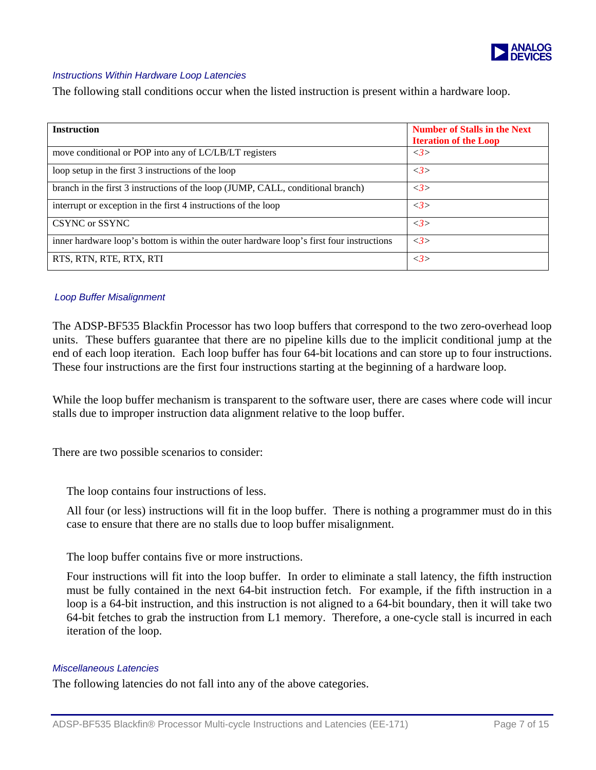

### *Instructions Within Hardware Loop Latencies*

The following stall conditions occur when the listed instruction is present within a hardware loop.

| <b>Instruction</b>                                                                       | <b>Number of Stalls in the Next</b><br><b>Iteration of the Loop</b> |
|------------------------------------------------------------------------------------------|---------------------------------------------------------------------|
| move conditional or POP into any of LC/LB/LT registers                                   | $\langle 3 \rangle$                                                 |
| loop setup in the first 3 instructions of the loop                                       | $\langle 3 \rangle$                                                 |
| branch in the first 3 instructions of the loop (JUMP, CALL, conditional branch)          | <3>                                                                 |
| interrupt or exception in the first 4 instructions of the loop                           | <3>                                                                 |
| CSYNC or SSYNC                                                                           | $\langle 3 \rangle$                                                 |
| inner hardware loop's bottom is within the outer hardware loop's first four instructions | <3>                                                                 |
| RTS, RTN, RTE, RTX, RTI                                                                  | <3>                                                                 |

### *Loop Buffer Misalignment*

The ADSP-BF535 Blackfin Processor has two loop buffers that correspond to the two zero-overhead loop units. These buffers guarantee that there are no pipeline kills due to the implicit conditional jump at the end of each loop iteration. Each loop buffer has four 64-bit locations and can store up to four instructions. These four instructions are the first four instructions starting at the beginning of a hardware loop.

While the loop buffer mechanism is transparent to the software user, there are cases where code will incur stalls due to improper instruction data alignment relative to the loop buffer.

There are two possible scenarios to consider:

The loop contains four instructions of less.

All four (or less) instructions will fit in the loop buffer. There is nothing a programmer must do in this case to ensure that there are no stalls due to loop buffer misalignment.

The loop buffer contains five or more instructions.

Four instructions will fit into the loop buffer. In order to eliminate a stall latency, the fifth instruction must be fully contained in the next 64-bit instruction fetch. For example, if the fifth instruction in a loop is a 64-bit instruction, and this instruction is not aligned to a 64-bit boundary, then it will take two 64-bit fetches to grab the instruction from L1 memory. Therefore, a one-cycle stall is incurred in each iteration of the loop.

### *Miscellaneous Latencies*

The following latencies do not fall into any of the above categories.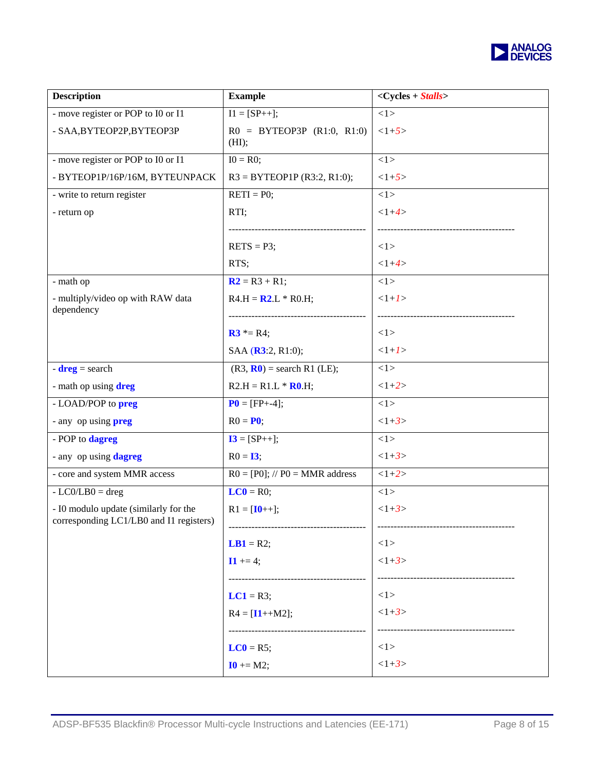

| <b>Example</b>                                           | $<$ Cycles + Stalls> |
|----------------------------------------------------------|----------------------|
| $I1 = [SP++];$                                           | <1>                  |
| $R0 = BYTEOP3P (R1:0, R1:0)$<br>(HI);                    | $<1+5>$              |
| $IO = R0;$                                               | <1>                  |
| $R3 = BYTEOP1P (R3:2, R1:0);$                            | $<1+5>$              |
| $RETI = PO;$                                             | <1>                  |
| RTI;<br>.                                                | $<1+4>$              |
| $RETS = P3;$                                             | 1>                   |
| RTS;                                                     | $<1+4>$              |
| $R2 = R3 + R1;$                                          | <1>                  |
| $R4.H = R2.L * R0.H;$<br>------------------------------- | $<1+1>$              |
| <b>R3</b> $* = R4$ ;                                     | 1>                   |
| SAA (R3:2, R1:0);                                        | $<1+1>$              |
| $(R3, R0)$ = search R1 (LE);                             | <1>                  |
| $R2.H = R1.L * R0.H;$                                    | $<1+2>$              |
| $P0 = [FP + -4];$                                        | <1>                  |
| $R0 = P0;$                                               | $<1+3>$              |
| $I3 = [SP++];$                                           | <1>                  |
| $R0 = 13;$                                               | $<1+3>$              |
| $R0 = [P0]; // P0 = MMR address$                         | $<1+2>$              |
| $LC0 = R0;$                                              | <1>                  |
| $R1 = [I0++];$                                           | $<1+3>$              |
| $LB1 = R2;$                                              | <1>                  |
| $11 += 4;$                                               | $<1+3>$              |
| $LC1 = R3;$                                              | 1>                   |
| $R4 = [11 + M2];$                                        | $<1+3>$              |
|                                                          |                      |
| $LC0 = R5;$                                              | 1>                   |
| $10 += M2;$                                              | $<1+3>$              |
|                                                          |                      |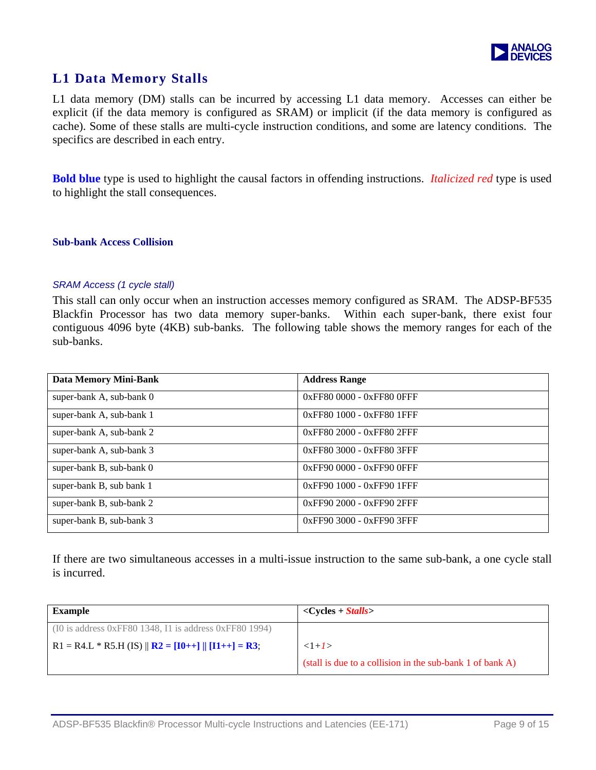

### **L1 Data Memory Stalls**

L1 data memory (DM) stalls can be incurred by accessing L1 data memory. Accesses can either be explicit (if the data memory is configured as SRAM) or implicit (if the data memory is configured as cache). Some of these stalls are multi-cycle instruction conditions, and some are latency conditions. The specifics are described in each entry.

**Bold blue** type is used to highlight the causal factors in offending instructions. *Italicized red* type is used to highlight the stall consequences.

### **Sub-bank Access Collision**

#### *SRAM Access (1 cycle stall)*

This stall can only occur when an instruction accesses memory configured as SRAM. The ADSP-BF535 Blackfin Processor has two data memory super-banks. Within each super-bank, there exist four contiguous 4096 byte (4KB) sub-banks. The following table shows the memory ranges for each of the sub-banks.

| <b>Data Memory Mini-Bank</b> | <b>Address Range</b>            |
|------------------------------|---------------------------------|
| super-bank A, sub-bank 0     | $0x$ FF80 0000 - $0x$ FF80 0FFF |
| super-bank A, sub-bank 1     | 0xFF80 1000 - 0xFF80 1FFF       |
| super-bank A, sub-bank 2     | 0xFF80 2000 - 0xFF80 2FFF       |
| super-bank A, sub-bank 3     | 0xFF80 3000 - 0xFF80 3FFF       |
| super-bank B, sub-bank 0     | 0xFF90 0000 - 0xFF90 0FFF       |
| super-bank B, sub bank 1     | 0xFF90 1000 - 0xFF90 1FFF       |
| super-bank B, sub-bank 2     | $0x$ FF90 2000 - $0x$ FF90 2FFF |
| super-bank B, sub-bank 3     | 0xFF90 3000 - 0xFF90 3FFF       |

If there are two simultaneous accesses in a multi-issue instruction to the same sub-bank, a one cycle stall is incurred.

| <b>Example</b>                                                                            | $\langle$ Cycles + <i>Stalls</i>                          |
|-------------------------------------------------------------------------------------------|-----------------------------------------------------------|
| $(10$ is address 0xFF80 1348, I1 is address 0xFF80 1994)                                  |                                                           |
| R1 = R4.L * R5.H (IS) $\ $ <b>R2</b> = [ <b>I0</b> ++] $\ $ [ <b>I1</b> ++] = <b>R3</b> ; | $<1+1>$                                                   |
|                                                                                           | (stall is due to a collision in the sub-bank 1 of bank A) |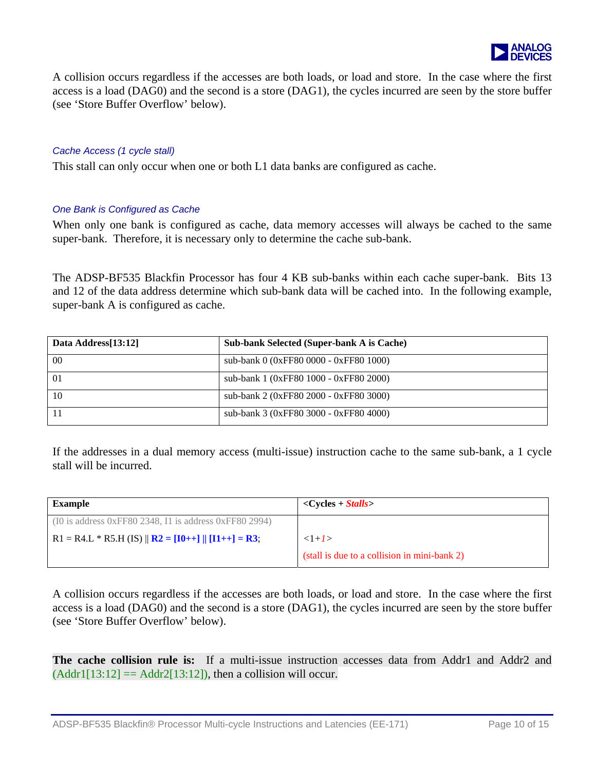

A collision occurs regardless if the accesses are both loads, or load and store. In the case where the first access is a load (DAG0) and the second is a store (DAG1), the cycles incurred are seen by the store buffer (see 'Store Buffer Overflow' below).

### *Cache Access (1 cycle stall)*

This stall can only occur when one or both L1 data banks are configured as cache.

### *One Bank is Configured as Cache*

When only one bank is configured as cache, data memory accesses will always be cached to the same super-bank. Therefore, it is necessary only to determine the cache sub-bank.

The ADSP-BF535 Blackfin Processor has four 4 KB sub-banks within each cache super-bank. Bits 13 and 12 of the data address determine which sub-bank data will be cached into. In the following example, super-bank A is configured as cache.

| Data Address[13:12] | <b>Sub-bank Selected (Super-bank A is Cache)</b> |
|---------------------|--------------------------------------------------|
| $00\,$              | sub-bank 0 (0xFF80 0000 - 0xFF80 1000)           |
| $\Omega$            | sub-bank 1 (0xFF80 1000 - 0xFF80 2000)           |
| 10                  | sub-bank 2 (0xFF80 2000 - 0xFF80 3000)           |
|                     | sub-bank 3 (0xFF80 3000 - 0xFF80 4000)           |

If the addresses in a dual memory access (multi-issue) instruction cache to the same sub-bank, a 1 cycle stall will be incurred.

| <b>Example</b>                                                                            | $\langle$ Cycles + <i>Stalls</i>             |
|-------------------------------------------------------------------------------------------|----------------------------------------------|
| $(10$ is address 0xFF80 2348, I1 is address 0xFF80 2994)                                  |                                              |
| R1 = R4.L * R5.H (IS) $\ $ <b>R2</b> = [ <b>I0</b> ++] $\ $ [ <b>I1</b> ++] = <b>R3</b> ; | $<1+1>$                                      |
|                                                                                           | (stall is due to a collision in mini-bank 2) |

A collision occurs regardless if the accesses are both loads, or load and store. In the case where the first access is a load (DAG0) and the second is a store (DAG1), the cycles incurred are seen by the store buffer (see 'Store Buffer Overflow' below).

**The cache collision rule is:** If a multi-issue instruction accesses data from Addr1 and Addr2 and  $(Addr1[13:12] = Addr2[13:12])$ , then a collision will occur.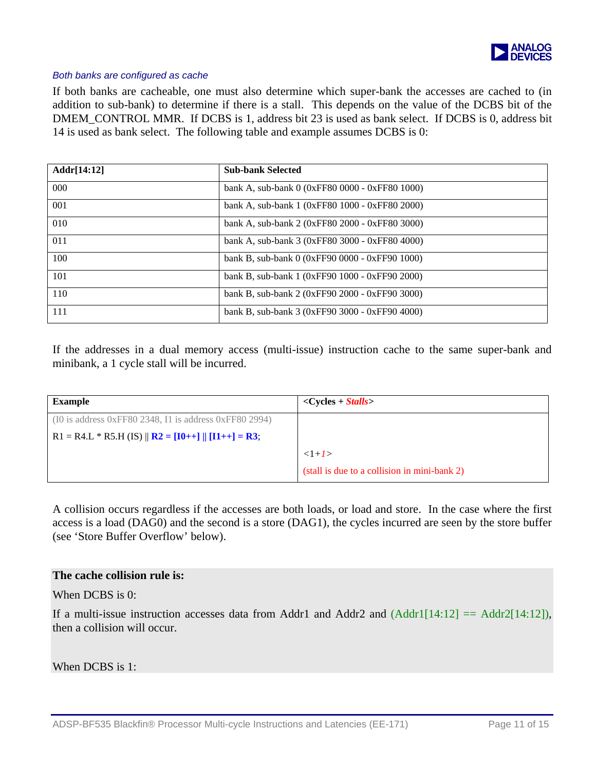

### *Both banks are configured as cache*

If both banks are cacheable, one must also determine which super-bank the accesses are cached to (in addition to sub-bank) to determine if there is a stall. This depends on the value of the DCBS bit of the DMEM\_CONTROL MMR. If DCBS is 1, address bit 23 is used as bank select. If DCBS is 0, address bit 14 is used as bank select. The following table and example assumes DCBS is 0:

| Addr[14:12]      | <b>Sub-bank Selected</b>                       |
|------------------|------------------------------------------------|
| 000 <sub>o</sub> | bank A, sub-bank 0 (0xFF80 0000 - 0xFF80 1000) |
| 001              | bank A, sub-bank 1 (0xFF80 1000 - 0xFF80 2000) |
| 010              | bank A, sub-bank 2 (0xFF80 2000 - 0xFF80 3000) |
| 011              | bank A, sub-bank 3 (0xFF80 3000 - 0xFF80 4000) |
| 100              | bank B, sub-bank $0(0xFF900000 - 0xFF901000)$  |
| 101              | bank B, sub-bank 1 (0xFF90 1000 - 0xFF90 2000) |
| 110              | bank B, sub-bank 2 (0xFF90 2000 - 0xFF90 3000) |
| 111              | bank B, sub-bank 3 (0xFF90 3000 - 0xFF90 4000) |

If the addresses in a dual memory access (multi-issue) instruction cache to the same super-bank and minibank, a 1 cycle stall will be incurred.

| <b>Example</b>                                                       | $\langle Cycles + Stalls \rangle$            |
|----------------------------------------------------------------------|----------------------------------------------|
| $(10$ is address 0xFF80 2348, I1 is address 0xFF80 2994)             |                                              |
| R1 = R4.L * R5.H (IS) $\ $ <b>R2</b> = $[I0++]$ $\ $ $[I1++] = R3$ ; |                                              |
|                                                                      | $<1+1>$                                      |
|                                                                      | (stall is due to a collision in mini-bank 2) |

A collision occurs regardless if the accesses are both loads, or load and store. In the case where the first access is a load (DAG0) and the second is a store (DAG1), the cycles incurred are seen by the store buffer (see 'Store Buffer Overflow' below).

### **The cache collision rule is:**

When DCBS is 0:

If a multi-issue instruction accesses data from Addr1 and Addr2 and  $(Addr1[14:12] == Addr2[14:12])$ , then a collision will occur.

When DCBS is 1: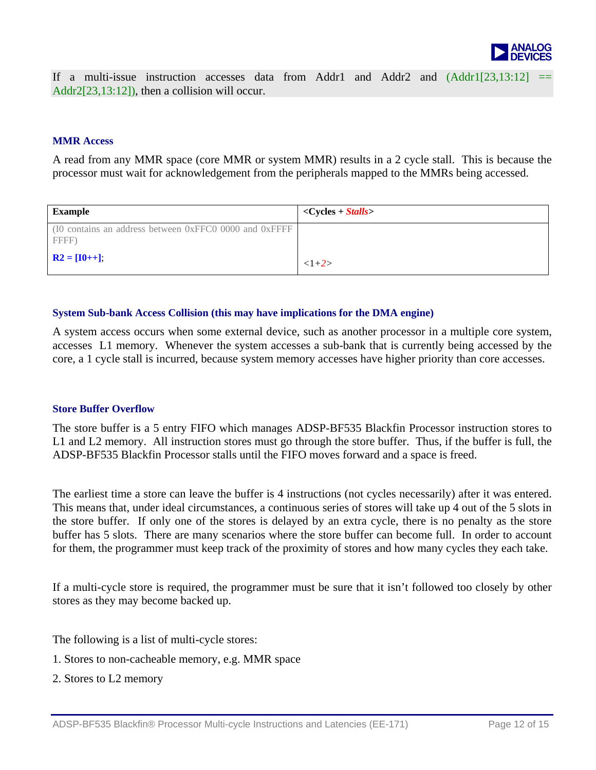

If a multi-issue instruction accesses data from Addr1 and Addr2 and  $(Addr1[23,13:12])$ Addr2[23,13:12]), then a collision will occur.

#### **MMR Access**

A read from any MMR space (core MMR or system MMR) results in a 2 cycle stall. This is because the processor must wait for acknowledgement from the peripherals mapped to the MMRs being accessed.

| <b>Example</b>                                                  | $\langle$ Cycles + <i>Stalls</i> |
|-----------------------------------------------------------------|----------------------------------|
| (IO contains an address between 0xFFC0 0000 and 0xFFFF<br>FFFF) |                                  |
| $R2 = [10 + 1],$                                                | $<1+2>$                          |

#### **System Sub-bank Access Collision (this may have implications for the DMA engine)**

A system access occurs when some external device, such as another processor in a multiple core system, accesses L1 memory. Whenever the system accesses a sub-bank that is currently being accessed by the core, a 1 cycle stall is incurred, because system memory accesses have higher priority than core accesses.

### **Store Buffer Overflow**

The store buffer is a 5 entry FIFO which manages ADSP-BF535 Blackfin Processor instruction stores to L1 and L2 memory. All instruction stores must go through the store buffer. Thus, if the buffer is full, the ADSP-BF535 Blackfin Processor stalls until the FIFO moves forward and a space is freed.

The earliest time a store can leave the buffer is 4 instructions (not cycles necessarily) after it was entered. This means that, under ideal circumstances, a continuous series of stores will take up 4 out of the 5 slots in the store buffer. If only one of the stores is delayed by an extra cycle, there is no penalty as the store buffer has 5 slots. There are many scenarios where the store buffer can become full. In order to account for them, the programmer must keep track of the proximity of stores and how many cycles they each take.

If a multi-cycle store is required, the programmer must be sure that it isn't followed too closely by other stores as they may become backed up.

The following is a list of multi-cycle stores:

- 1. Stores to non-cacheable memory, e.g. MMR space
- 2. Stores to L2 memory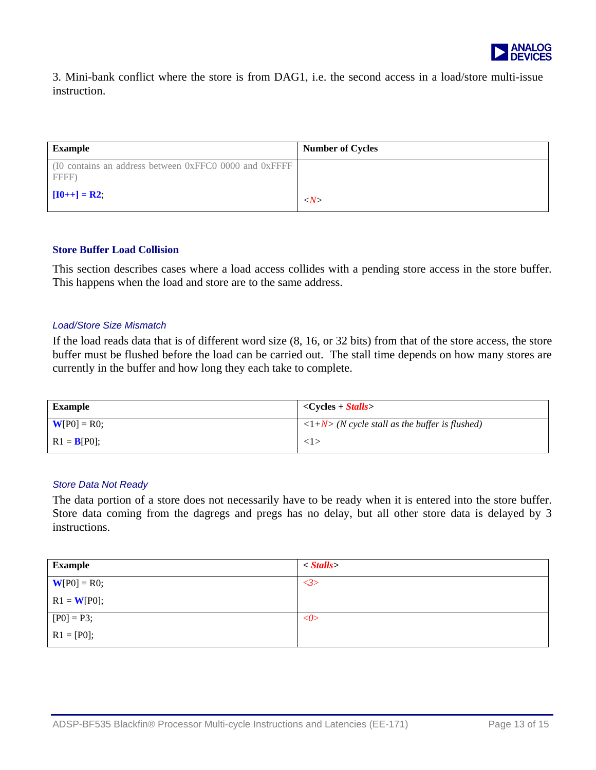

3. Mini-bank conflict where the store is from DAG1, i.e. the second access in a load/store m ulti-issue instruction.

| <b>Example</b>                                                  | <b>Number of Cycles</b> |
|-----------------------------------------------------------------|-------------------------|
| (I0 contains an address between 0xFFC0 0000 and 0xFFFF<br>FFFF) |                         |
| $[10++] = R2;$                                                  | $\langle N \rangle$     |

#### **Store Buffer Load Collision**

This section describes cases where a load access collides with a pending store access in the store buffer. This happens when the load and store are to the same address.

#### *Load/Store Size Mismatch*

If the load reads data that is of different word size (8, 16, or 32 bits) from that of the store access, the store buffer must be flushed before the load can be carried out. The stall time depends on how many stores are currently in the buffer and how long they each take to complete.

| <b>Example</b> | $\langle$ Cycles + <i>Stalls</i>                               |
|----------------|----------------------------------------------------------------|
| $W[P0] = R0;$  | $\langle 1+N \rangle$ (N cycle stall as the buffer is flushed) |
| $R1 = B[P0];$  | $\langle 1 \rangle$                                            |

### *Store Data Not Ready*

The data portion of a store does not necessarily have to be ready when it is entered into the store buffer. Store data coming from the dagregs and pregs has no delay, but all other store data is delayed by 3 instructions.

| <b>Example</b> | $\langle$ Stalls |
|----------------|------------------|
| $W[PO] = R0;$  | <3>              |
| $R1 = W[P0];$  |                  |
| $[P0] = P3;$   | $<\!\!\theta$    |
| $R1 = [P0];$   |                  |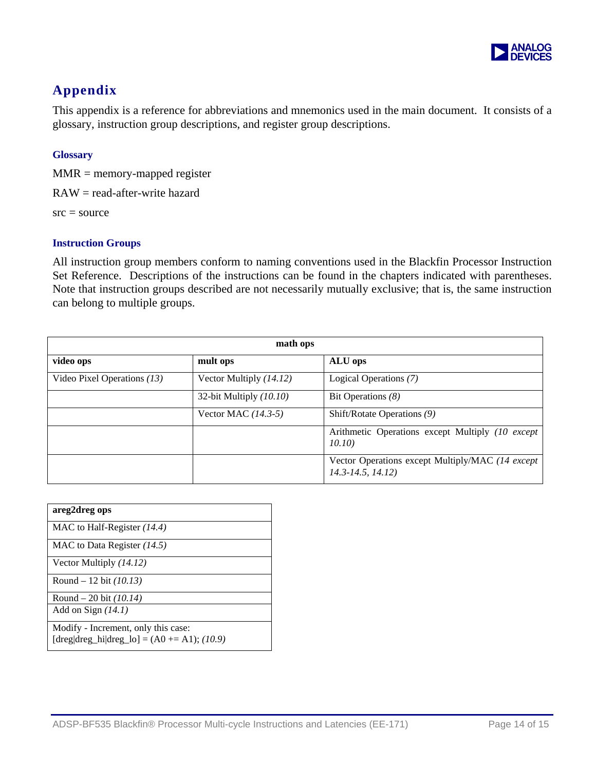

### **Appendix**

This appendix is a reference for abbreviations and mnemonics used in the main document. It consists of a glossary, instruction group descriptions, and register group descriptions.

### **Glossary**

 $MMR =$  memory-mapped register

RAW = read-after-write hazard

 $src = source$ 

### **Instruction Groups**

All instruction group members conform to naming conventions used in the Blackfin Processor Instruction Set Reference. Descriptions of the instructions can be found in the chapters indicated with parentheses. Note that instruction groups described are not necessarily mutually exclusive; that is, the same instruction can belong to multiple groups.

| math ops                      |                         |                                                                               |  |  |
|-------------------------------|-------------------------|-------------------------------------------------------------------------------|--|--|
| video ops                     | mult ops                | ALU ops                                                                       |  |  |
| Video Pixel Operations $(13)$ | Vector Multiply (14.12) | Logical Operations (7)                                                        |  |  |
|                               | 32-bit Multiply (10.10) | Bit Operations $(8)$                                                          |  |  |
|                               | Vector MAC $(14.3-5)$   | Shift/Rotate Operations (9)                                                   |  |  |
|                               |                         | Arithmetic Operations except Multiply (10 except)<br>10.10)                   |  |  |
|                               |                         | Vector Operations except Multiply/MAC (14 except<br>$14.3 - 14.5$ , $14.12$ ) |  |  |

| areg2dreg ops                                                                         |
|---------------------------------------------------------------------------------------|
| MAC to Half-Register $(14.4)$                                                         |
| MAC to Data Register $(14.5)$                                                         |
| Vector Multiply $(14.12)$                                                             |
| Round – 12 bit $(10.13)$                                                              |
| Round – 20 bit $(10.14)$                                                              |
| Add on Sign $(14.1)$                                                                  |
| Modify - Increment, only this case:<br>$[drag deg_hi dreg_lo] = (A0 \neq A1); (10.9)$ |